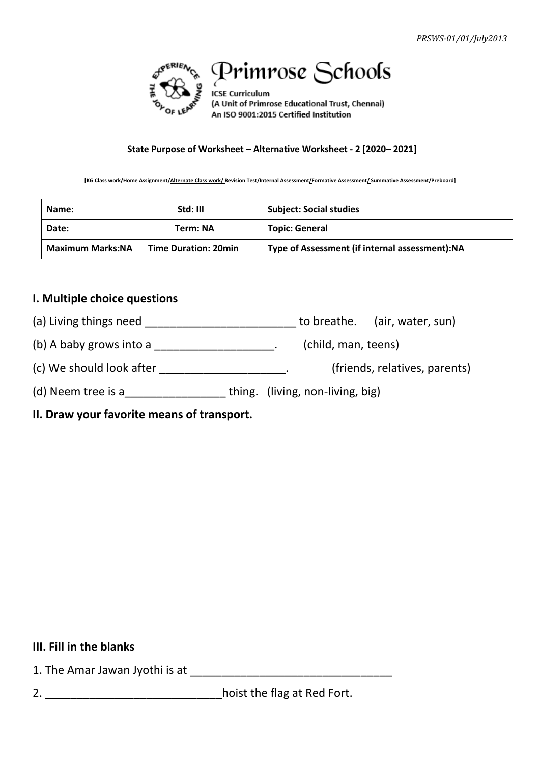

# Primrose Schools

**ICSE Curriculum** (A Unit of Primrose Educational Trust, Chennai) An ISO 9001:2015 Certified Institution

#### **State Purpose of Worksheet – Alternative Worksheet - 2 [2020– 2021]**

**[KG Class work/Home Assignment/Alternate Class work/ Revision Test/Internal Assessment/Formative Assessment/ Summative Assessment/Preboard]**

| Name:                   | Std: III                    | <b>Subject: Social studies</b>                 |  |
|-------------------------|-----------------------------|------------------------------------------------|--|
| Date:                   | Term: NA                    | <b>Topic: General</b>                          |  |
| <b>Maximum Marks:NA</b> | <b>Time Duration: 20min</b> | Type of Assessment (if internal assessment):NA |  |

### **I. Multiple choice questions**

(a) Living things need \_\_\_\_\_\_\_\_\_\_\_\_\_\_\_\_\_\_\_\_\_\_\_\_\_\_\_\_\_\_ to breathe. (air, water, sun)

(b) A baby grows into a  $\sqrt{2}$  (child, man, teens)

(c) We should look after \_\_\_\_\_\_\_\_\_\_\_\_\_\_\_\_\_\_\_\_\_\_\_. (friends, relatives, parents)

(d) Neem tree is a\_\_\_\_\_\_\_\_\_\_\_\_\_\_\_\_\_\_\_\_\_thing. (living, non-living, big)

**II. Draw your favorite means of transport.**

#### **III. Fill in the blanks**

1. The Amar Jawan Jyothi is at \_\_\_\_\_\_\_\_\_\_\_\_\_\_\_\_\_\_\_\_\_\_\_\_\_\_\_\_\_\_\_\_

2. \_\_\_\_\_\_\_\_\_\_\_\_\_\_\_\_\_\_\_\_\_\_\_\_\_\_\_\_hoist the flag at Red Fort.